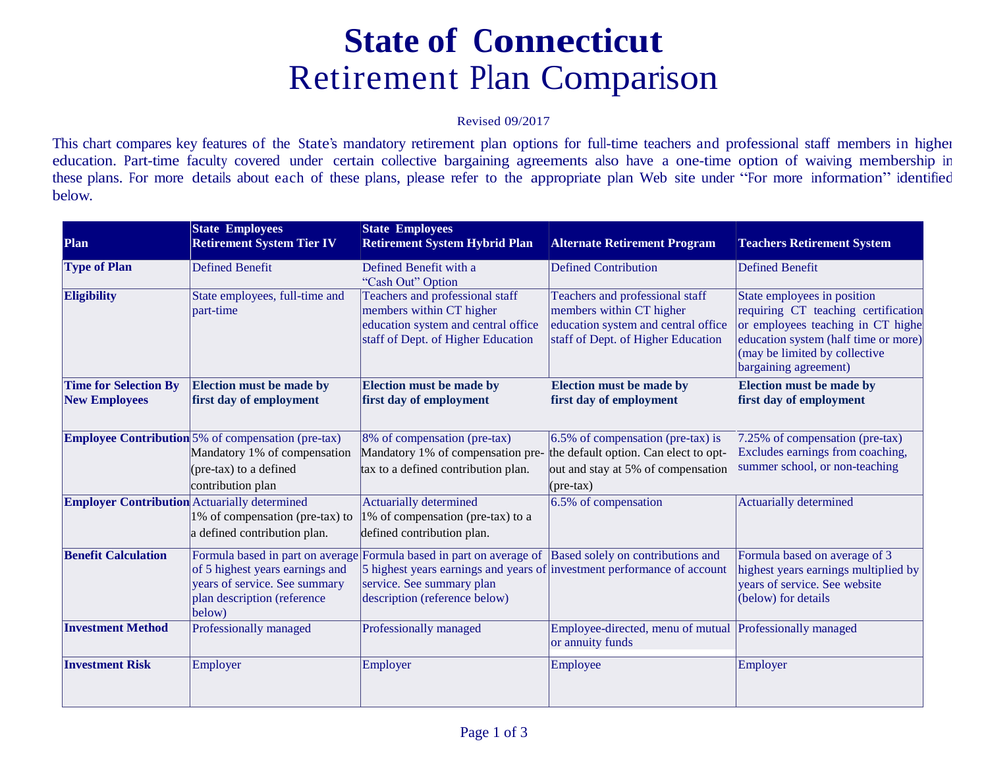# **State of Connecticut** Retirement Plan Comparison

### Revised 09/2017

This chart compares key features of the State's mandatory retirement plan options for full-time teachers and professional staff members in higher education. Part-time faculty covered under certain collective bargaining agreements also have a one-time option of waiving membership in these plans. For more details about each of these plans, please refer to the appropriate plan Web site under "For more information" identified below.

| Plan                                                 | <b>State Employees</b><br><b>Retirement System Tier IV</b>                                                                                    | <b>State Employees</b><br><b>Retirement System Hybrid Plan</b>                                                                                                                                                 | <b>Alternate Retirement Program</b>                                                                                                      | <b>Teachers Retirement System</b>                                                                                                                                                                         |
|------------------------------------------------------|-----------------------------------------------------------------------------------------------------------------------------------------------|----------------------------------------------------------------------------------------------------------------------------------------------------------------------------------------------------------------|------------------------------------------------------------------------------------------------------------------------------------------|-----------------------------------------------------------------------------------------------------------------------------------------------------------------------------------------------------------|
| <b>Type of Plan</b>                                  | <b>Defined Benefit</b>                                                                                                                        | Defined Benefit with a<br>"Cash Out" Option                                                                                                                                                                    | <b>Defined Contribution</b>                                                                                                              | Defined Benefit                                                                                                                                                                                           |
| <b>Eligibility</b>                                   | State employees, full-time and<br>part-time                                                                                                   | Teachers and professional staff<br>members within CT higher<br>education system and central office<br>staff of Dept. of Higher Education                                                                       | Teachers and professional staff<br>members within CT higher<br>education system and central office<br>staff of Dept. of Higher Education | State employees in position<br>requiring CT teaching certification<br>or employees teaching in CT highe<br>education system (half time or more)<br>(may be limited by collective<br>bargaining agreement) |
| <b>Time for Selection By</b><br><b>New Employees</b> | <b>Election must be made by</b><br>first day of employment                                                                                    | <b>Election must be made by</b><br>first day of employment                                                                                                                                                     | <b>Election must be made by</b><br>first day of employment                                                                               | <b>Election must be made by</b><br>first day of employment                                                                                                                                                |
|                                                      | <b>Employee Contribution</b> 5% of compensation (pre-tax)<br>Mandatory 1% of compensation<br>(pre-tax) to a defined<br>contribution plan      | 8% of compensation (pre-tax)<br>Mandatory 1% of compensation pre-<br>tax to a defined contribution plan.                                                                                                       | $6.5\%$ of compensation (pre-tax) is<br>the default option. Can elect to opt-<br>out and stay at 5% of compensation<br>$(pre-tax)$       | 7.25% of compensation (pre-tax)<br>Excludes earnings from coaching,<br>summer school, or non-teaching                                                                                                     |
| <b>Employer Contribution</b> Actuarially determined  | 1% of compensation (pre-tax) to<br>a defined contribution plan.                                                                               | Actuarially determined<br>1% of compensation (pre-tax) to a<br>defined contribution plan.                                                                                                                      | $6.5\%$ of compensation                                                                                                                  | Actuarially determined                                                                                                                                                                                    |
| <b>Benefit Calculation</b>                           | Formula based in part on average<br>of 5 highest years earnings and<br>years of service. See summary<br>plan description (reference<br>below) | Formula based in part on average of Based solely on contributions and<br>5 highest years earnings and years of investment performance of account<br>service. See summary plan<br>description (reference below) |                                                                                                                                          | Formula based on average of 3<br>highest years earnings multiplied by<br>years of service. See website<br>(below) for details                                                                             |
| <b>Investment Method</b>                             | Professionally managed                                                                                                                        | Professionally managed                                                                                                                                                                                         | Employee-directed, menu of mutual Professionally managed<br>or annuity funds                                                             |                                                                                                                                                                                                           |
| <b>Investment Risk</b>                               | Employer                                                                                                                                      | Employer                                                                                                                                                                                                       | Employee                                                                                                                                 | Employer                                                                                                                                                                                                  |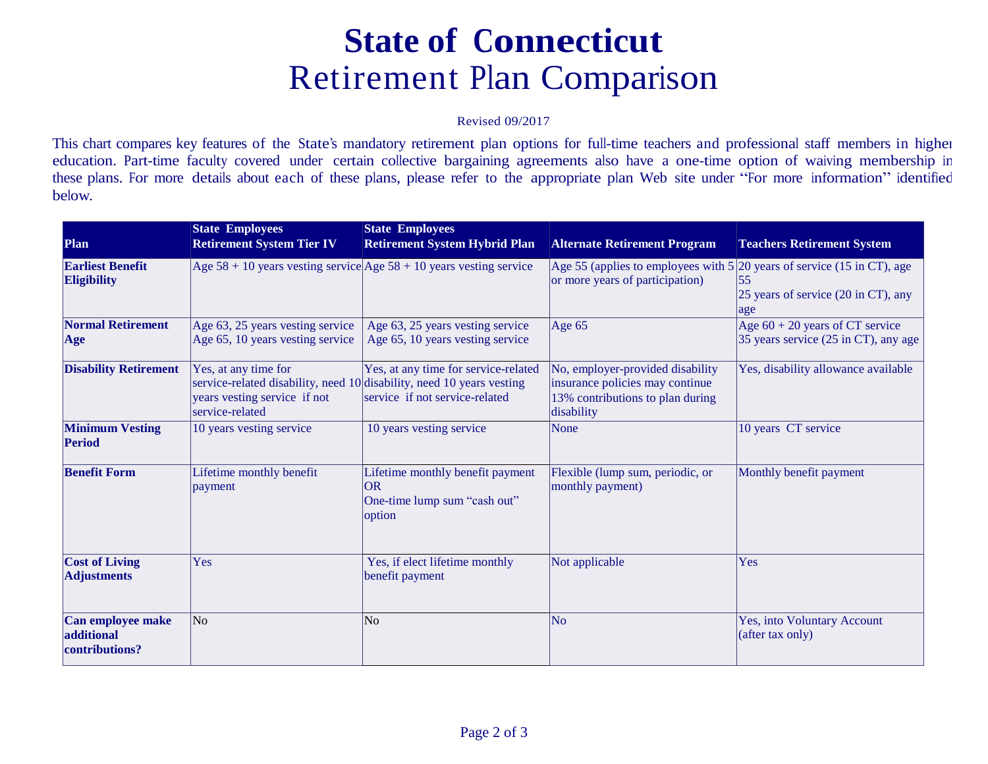# **State of Connecticut** Retirement Plan Comparison

### Revised 09/2017

This chart compares key features of the State's mandatory retirement plan options for full-time teachers and professional staff members in higher education. Part-time faculty covered under certain collective bargaining agreements also have a one-time option of waiving membership in these plans. For more details about each of these plans, please refer to the appropriate plan Web site under "For more information" identified below.

| <b>Plan</b>                                       | <b>State Employees</b><br><b>Retirement System Tier IV</b>                                                                                       | <b>State Employees</b><br><b>Retirement System Hybrid Plan</b>                          | <b>Alternate Retirement Program</b>                                                                                   | <b>Teachers Retirement System</b>                            |
|---------------------------------------------------|--------------------------------------------------------------------------------------------------------------------------------------------------|-----------------------------------------------------------------------------------------|-----------------------------------------------------------------------------------------------------------------------|--------------------------------------------------------------|
| <b>Earliest Benefit</b><br><b>Eligibility</b>     |                                                                                                                                                  | Age $58 + 10$ years vesting service Age $58 + 10$ years vesting service                 | Age 55 (applies to employees with $5/20$ years of service (15 in CT), age<br>or more years of participation)          | 55<br>25 years of service $(20 \text{ in } CT)$ , any<br>age |
| <b>Normal Retirement</b>                          | Age 63, 25 years vesting service                                                                                                                 | Age 63, 25 years vesting service                                                        | Age $65$                                                                                                              | Age $60 + 20$ years of CT service                            |
| Age                                               | Age 65, 10 years vesting service                                                                                                                 | Age 65, 10 years vesting service                                                        |                                                                                                                       | 35 years service (25 in CT), any age                         |
| <b>Disability Retirement</b>                      | Yes, at any time for<br>service-related disability, need 10 disability, need 10 years vesting<br>years vesting service if not<br>service-related | Yes, at any time for service-related<br>service if not service-related                  | No, employer-provided disability<br>insurance policies may continue<br>13% contributions to plan during<br>disability | Yes, disability allowance available                          |
| <b>Minimum Vesting</b><br><b>Period</b>           | 10 years vesting service                                                                                                                         | 10 years vesting service                                                                | None                                                                                                                  | 10 years CT service                                          |
| <b>Benefit Form</b>                               | Lifetime monthly benefit<br>payment                                                                                                              | Lifetime monthly benefit payment<br><b>OR</b><br>One-time lump sum "cash out"<br>option | Flexible (lump sum, periodic, or<br>monthly payment)                                                                  | Monthly benefit payment                                      |
| <b>Cost of Living</b><br><b>Adjustments</b>       | Yes                                                                                                                                              | Yes, if elect lifetime monthly<br>benefit payment                                       | Not applicable                                                                                                        | Yes                                                          |
| Can employee make<br>additional<br>contributions? | No                                                                                                                                               | No                                                                                      | No                                                                                                                    | Yes, into Voluntary Account<br>(after tax only)              |